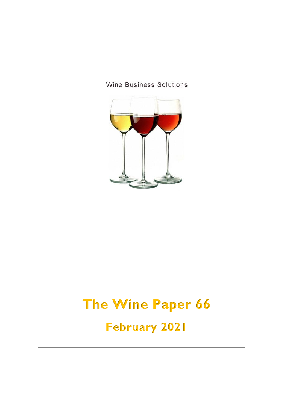



# **The Wine Paper 66 February 2021**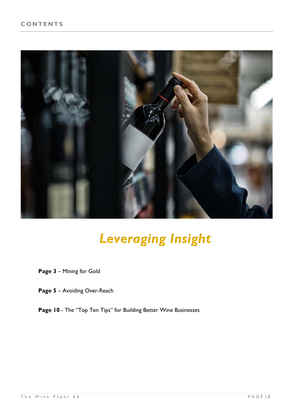

## *Leveraging Insight*

**Page 3** – Mining for Gold

**Page 5** – Avoiding Over-Reach

Page 10 - The "Top Ten Tips" for Building Better Wine Businesses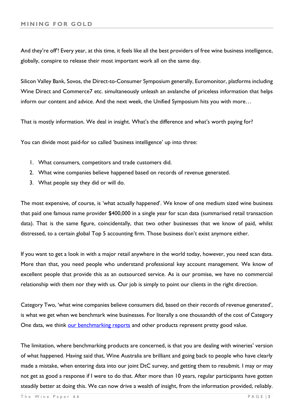And they're off'! Every year, at this time, it feels like all the best providers of free wine business intelligence, globally, conspire to release their most important work all on the same day.

Silicon Valley Bank, Sovos, the Direct-to-Consumer Symposium generally, Euromonitor, platforms including Wine Direct and Commerce7 etc. simultaneously unleash an avalanche of priceless information that helps inform our content and advice. And the next week, the Unified Symposium hits you with more…

That is mostly information. We deal in insight. What's the difference and what's worth paying for?

You can divide most paid-for so called 'business intelligence' up into three:

- 1. What consumers, competitors and trade customers did.
- 2. What wine companies believe happened based on records of revenue generated.
- 3. What people say they did or will do.

The most expensive, of course, is 'what actually happened'. We know of one medium sized wine business that paid one famous name provider \$400,000 in a single year for scan data (summarised retail transaction data). That is the same figure, coincidentally, that two other businesses that we know of paid, whilst distressed, to a certain global Top 5 accounting firm. Those business don't exist anymore either.

If you want to get a look in with a major retail anywhere in the world today, however, you need scan data. More than that, you need people who understand professional key account management. We know of excellent people that provide this as an outsourced service. As is our promise, we have no commercial relationship with them nor they with us. Our job is simply to point our clients in the right direction.

Category Two, 'what wine companies believe consumers did, based on their records of revenue generated', is what we get when we benchmark wine businesses. For literally a one thousandth of the cost of Category One data, we think [our benchmarking reports](https://winebusinesssolutions.com.au/product-category/research/) and other products represent pretty good value.

The limitation, where benchmarking products are concerned, is that you are dealing with wineries' version of what happened. Having said that, Wine Australia are brilliant and going back to people who have clearly made a mistake, when entering data into our joint DtC survey, and getting them to resubmit. I may or may not get as good a response if I were to do that. After more than 10 years, regular participants have gotten steadily better at doing this. We can now drive a wealth of insight, from the information provided, reliably.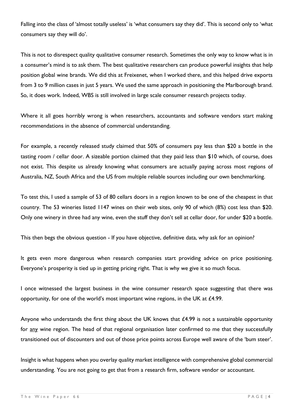Falling into the class of 'almost totally useless' is 'what consumers say they did'. This is second only to 'what consumers say they will do'.

This is not to disrespect quality qualitative consumer research. Sometimes the only way to know what is in a consumer's mind is to ask them. The best qualitative researchers can produce powerful insights that help position global wine brands. We did this at Freixenet, when I worked there, and this helped drive exports from 3 to 9 million cases in just 5 years. We used the same approach in positioning the Marlborough brand. So, it does work. Indeed, WBS is still involved in large scale consumer research projects today.

Where it all goes horribly wrong is when researchers, accountants and software vendors start making recommendations in the absence of commercial understanding.

For example, a recently released study claimed that 50% of consumers pay less than \$20 a bottle in the tasting room / cellar door. A sizeable portion claimed that they paid less than \$10 which, of course, does not exist. This despite us already knowing what consumers are actually paying across most regions of Australia, NZ, South Africa and the US from multiple reliable sources including our own benchmarking.

To test this, I used a sample of 53 of 80 cellars doors in a region known to be one of the cheapest in that country. The 53 wineries listed 1147 wines on their web sites, only 90 of which (8%) cost less than \$20. Only one winery in three had any wine, even the stuff they don't sell at cellar door, for under \$20 a bottle.

This then begs the obvious question - If you have objective, definitive data, why ask for an opinion?

It gets even more dangerous when research companies start providing advice on price positioning. Everyone's prosperity is tied up in getting pricing right. That is why we give it so much focus.

I once witnessed the largest business in the wine consumer research space suggesting that there was opportunity, for one of the world's most important wine regions, in the UK at £4.99.

Anyone who understands the first thing about the UK knows that £4.99 is not a sustainable opportunity for any wine region. The head of that regional organisation later confirmed to me that they successfully transitioned out of discounters and out of those price points across Europe well aware of the 'bum steer'.

Insight is what happens when you overlay quality market intelligence with comprehensive global commercial understanding. You are not going to get that from a research firm, software vendor or accountant.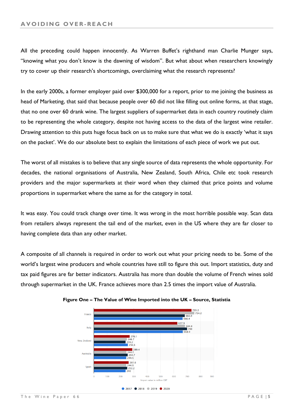All the preceding could happen innocently. As Warren Buffet's righthand man Charlie Munger says, "knowing what you don't know is the dawning of wisdom". But what about when researchers knowingly try to cover up their research's shortcomings, overclaiming what the research represents?

In the early 2000s, a former employer paid over \$300,000 for a report, prior to me joining the business as head of Marketing, that said that because people over 60 did not like filling out online forms, at that stage, that no one over 60 drank wine. The largest suppliers of supermarket data in each country routinely claim to be representing the whole category, despite not having access to the data of the largest wine retailer. Drawing attention to this puts huge focus back on us to make sure that what we do is exactly 'what it says on the packet'. We do our absolute best to explain the limitations of each piece of work we put out.

The worst of all mistakes is to believe that any single source of data represents the whole opportunity. For decades, the national organisations of Australia, New Zealand, South Africa, Chile etc took research providers and the major supermarkets at their word when they claimed that price points and volume proportions in supermarket where the same as for the category in total.

It was easy. You could track change over time. It was wrong in the most horrible possible way. Scan data from retailers always represent the tail end of the market, even in the US where they are far closer to having complete data than any other market.

A composite of all channels is required in order to work out what your pricing needs to be. Some of the world's largest wine producers and whole countries have still to figure this out. Import statistics, duty and tax paid figures are far better indicators. Australia has more than double the volume of French wines sold through supermarket in the UK. France achieves more than 2.5 times the import value of Australia.



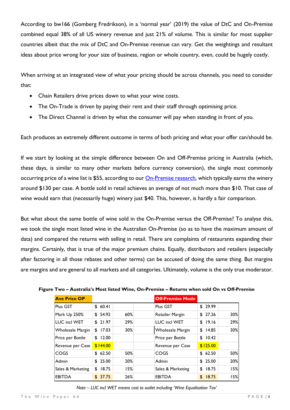According to bw166 (Gomberg Fredrikson), in a 'normal year' (2019) the value of DtC and On-Premise combined equal 38% of all US winery revenue and just 21% of volume. This is similar for most supplier countries albeit that the mix of DtC and On-Premise revenue can vary. Get the weightings and resultant ideas about price wrong for your size of business, region or whole country, even, could be hugely costly.

When arriving at an integrated view of what your pricing should be across channels, you need to consider that:

- Chain Retailers drive prices down to what your wine costs.
- The On-Trade is driven by paying their rent and their staff through optimising price.
- The Direct Channel is driven by what the consumer will pay when standing in front of you.

Each produces an extremely different outcome in terms of both pricing and what your offer can/should be.

If we start by looking at the simple difference between On and Off-Premise pricing in Australia (which, these days, is similar to many other markets before currency conversion), the single most commonly occurring price of a wine list is \$55, according to our **On-Premise research**, which typically earns the winery around \$130 per case. A bottle sold in retail achieves an average of not much more than \$10. That case of wine would earn that (necessarily huge) winery just \$40. This, however, is hardly a fair comparison.

But what about the same bottle of wine sold in the On-Premise versus the Off-Premise? To analyse this, we took the single most listed wine in the Australian On-Premise (so as to have the maximum amount of data) and compared the returns with selling in retail. There are complaints of restaurants expanding their margins. Certainly, that is true of the major premium chains. Equally, distributors and retailers (especially after factoring in all those rebates and other terms) can be accused of doing the same thing. But margins are margins and are general to all markets and all categories. Ultimately, volume is the only true moderator.

| <b>Ave Price OP</b> |             |     | <b>Off-Premise Mode</b> |              |            |
|---------------------|-------------|-----|-------------------------|--------------|------------|
| Plus GST            | \$60.41     |     | Plus GST                | \$29.99      |            |
| Mark Up 250%        | \$54.92     | 60% | <b>Retailer Margin</b>  | \$27.26      | <b>30%</b> |
| LUC incl WET        | \$21.97     | 29% | <b>LUC incl WET</b>     | \$19.16      | 29%        |
| Wholesale Margin    | 17.03<br>\$ | 30% | Wholesale Margin        | \$14.85      | 30%        |
| Price per Bottle    | 12.00<br>\$ |     | Price per Bottle        | 10.42<br>\$  |            |
| Revenue per Case    | \$144.00    |     | Revenue per Case        | \$125.00     |            |
| COGS                | \$62.50     | 50% | COGS                    | \$62.50      | 50%        |
| Admin               | \$25.00     | 20% | Admin                   | \$25.00      | 20%        |
| Sales & Marketing   | 18.75<br>\$ | 15% | Sales & Marketing       | 18.75<br>£   | 15%        |
| <b>EBITDA</b>       | \$37.75     | 26% | <b>EBITDA</b>           | 18.75<br>\$. | 15%        |

#### **Figure Two – Australia's Most listed Wine, On-Premise – Returns when sold On vs Off-Premise**

*Note – LUC incl WET means cost to outlet including 'Wine Equalisation Tax'*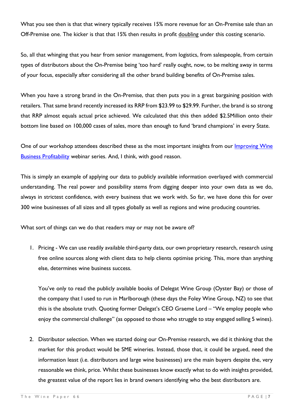What you see then is that that winery typically receives 15% more revenue for an On-Premise sale than an Off-Premise one. The kicker is that that 15% then results in profit doubling under this costing scenario.

So, all that whinging that you hear from senior management, from logistics, from salespeople, from certain types of distributors about the On-Premise being 'too hard' really ought, now, to be melting away in terms of your focus, especially after considering all the other brand building benefits of On-Premise sales.

When you have a strong brand in the On-Premise, that then puts you in a great bargaining position with retailers. That same brand recently increased its RRP from \$23.99 to \$29.99. Further, the brand is so strong that RRP almost equals actual price achieved. We calculated that this then added \$2.5Million onto their bottom line based on 100,000 cases of sales, more than enough to fund 'brand champions' in every State.

One of our workshop attendees described these as the most important insights from our *Improving Wine* [Business Profitability](https://winebusinesssolutions.com.au/product-category/workshops/) webinar series. And, I think, with good reason.

This is simply an example of applying our data to publicly available information overlayed with commercial understanding. The real power and possibility stems from digging deeper into your own data as we do, always in strictest confidence, with every business that we work with. So far, we have done this for over 300 wine businesses of all sizes and all types globally as well as regions and wine producing countries.

What sort of things can we do that readers may or may not be aware of?

1. Pricing - We can use readily available third-party data, our own proprietary research, research using free online sources along with client data to help clients optimise pricing. This, more than anything else, determines wine business success.

You've only to read the publicly available books of Delegat Wine Group (Oyster Bay) or those of the company that I used to run in Marlborough (these days the Foley Wine Group, NZ) to see that this is the absolute truth. Quoting former Delegat's CEO Graeme Lord – "We employ people who enjoy the commercial challenge" (as opposed to those who struggle to stay engaged selling 5 wines).

2. Distributor selection. When we started doing our On-Premise research, we did it thinking that the market for this product would be SME wineries. Instead, those that, it could be argued, need the information least (i.e. distributors and large wine businesses) are the main buyers despite the, very reasonable we think, price. Whilst these businesses know exactly what to do with insights provided, the greatest value of the report lies in brand owners identifying who the best distributors are.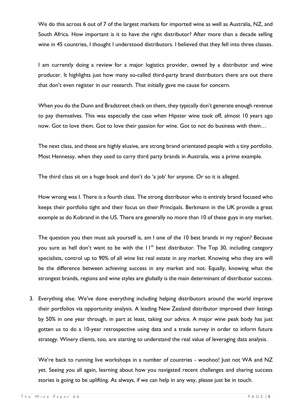We do this across 6 out of 7 of the largest markets for imported wine as well as Australia, NZ, and South Africa. How important is it to have the right distributor? After more than a decade selling wine in 45 countries, I thought I understood distributors. I believed that they fell into three classes.

I am currently doing a review for a major logistics provider, owned by a distributor and wine producer. It highlights just how many so-called third-party brand distributors there are out there that don't even register in our research. That initially gave me cause for concern.

When you do the Dunn and Bradstreet check on them, they typically don't generate enough revenue to pay themselves. This was especially the case when Hipster wine took off, almost 10 years ago now. Got to love them. Got to love their passion for wine. Got to not do business with them…

The next class, and these are highly elusive, are strong brand orientated people with a tiny portfolio. Most Hennessy, when they used to carry third party brands in Australia, was a prime example.

The third class sit on a huge book and don't do 'a job' for anyone. Or so it is alleged.

How wrong was I. There is a fourth class. The strong distributor who is entirely brand focused who keeps their portfolio tight and their focus on their Principals. Berkmann in the UK provide a great example as do Kobrand in the US. There are generally no more than 10 of these guys in any market.

The question you then must ask yourself is, am I one of the 10 best brands in my region? Because you sure as hell don't want to be with the  $11<sup>th</sup>$  best distributor. The Top 30, including category specialists, control up to 90% of all wine list real estate in any market. Knowing who they are will be the difference between achieving success in any market and not. Equally, knowing what the strongest brands, regions and wine styles are globally is the main determinant of distributor success.

3. Everything else. We've done everything including helping distributors around the world improve their portfolios via opportunity analysis. A leading New Zealand distributor improved their listings by 50% in one year through, in part at least, taking our advice. A major wine peak body has just gotten us to do a 10-year retrospective using data and a trade survey in order to inform future strategy. Winery clients, too, are starting to understand the real value of leveraging data analysis.

We're back to running live workshops in a number of countries - woohoo! Just not WA and NZ yet. Seeing you all again, learning about how you navigated recent challenges and sharing success stories is going to be uplifting. As always, if we can help in any way, please just be in touch.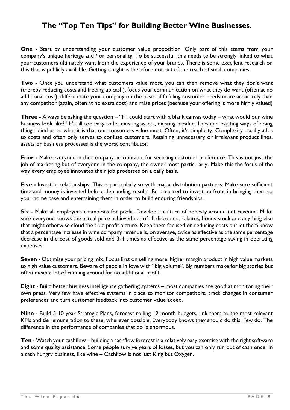### **The "Top Ten Tips" for Building Better Wine Businesses**.

**One** - Start by understanding your customer value proposition. Only part of this stems from your company's unique heritage and / or personality. To be successful, this needs to be strongly linked to what your customers ultimately want from the experience of your brands. There is some excellent research on this that is publicly available. Getting it right is therefore not out of the reach of small companies.

**Two** - Once you understand what customers value most, you can then remove what they don't want (thereby reducing costs and freeing up cash), focus your communication on what they do want (often at no additional cost), differentiate your company on the basis of fulfilling customer needs more accurately than any competitor (again, often at no extra cost) and raise prices (because your offering is more highly valued)

**Three -** Always be asking the question – "If I could start with a blank canvas today – what would our wine business look like?" It's all too easy to let existing assets, existing product lines and existing ways of doing things blind us to what it is that our consumers value most. Often, it's simplicity. Complexity usually adds to costs and often only serves to confuse customers. Retaining unnecessary or irrelevant product lines, assets or business processes is the worst contributor.

**Four -** Make everyone in the company accountable for securing customer preference. This is not just the job of marketing but of everyone in the company, the owner most particularly. Make this the focus of the way every employee innovates their job processes on a daily basis.

**Five -** Invest in relationships. This is particularly so with major distribution partners. Make sure sufficient time and money is invested before demanding results. Be prepared to invest up front in bringing them to your home base and entertaining them in order to build enduring friendships.

**Six** - Make all employees champions for profit. Develop a culture of honesty around net revenue. Make sure everyone knows the actual price achieved net of all discounts, rebates, bonus stock and anything else that might otherwise cloud the true profit picture. Keep them focused on reducing costs but let them know that a percentage increase in wine company revenue is, on average, twice as effective as the same percentage decrease in the cost of goods sold and 3-4 times as effective as the same percentage saving in operating expenses.

**Seven -** Optimise your pricing mix. Focus first on selling more, higher margin product in high value markets to high value customers. Beware of people in love with "big volume". Big numbers make for big stories but often mean a lot of running around for no additional profit.

**Eight** - Build better business intelligence gathering systems – most companies are good at monitoring their own press. Very few have effective systems in place to monitor competitors, track changes in consumer preferences and turn customer feedback into customer value added.

**Nine -** Build 5-10 year Strategic Plans, forecast rolling 12-month budgets, link them to the most relevant KPIs and tie remuneration to these, wherever possible. Everybody knows they should do this. Few do. The difference in the performance of companies that do is enormous.

**Ten -** Watch your cashflow – building a cashflow forecast is a relatively easy exercise with the right software and some quality assistance. Some people survive years of losses, but you can only run out of cash once. In a cash hungry business, like wine – Cashflow is not just King but Oxygen.